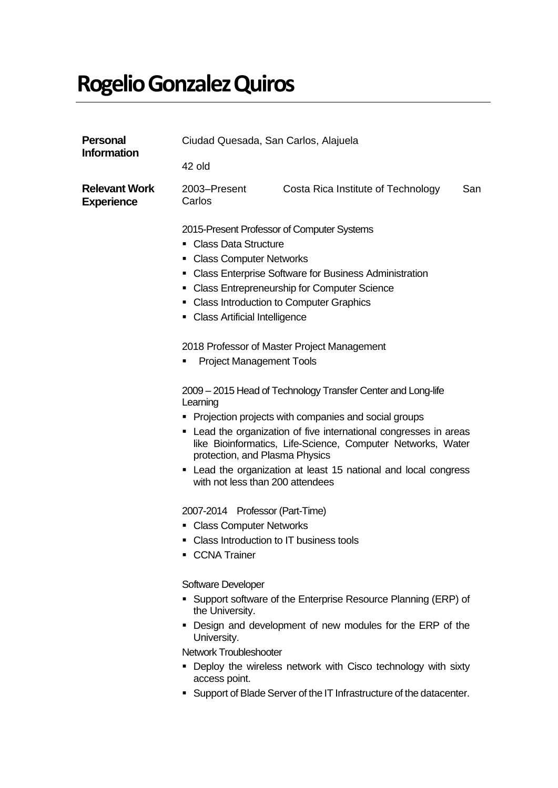## **Rogelio Gonzalez Quiros**

| <b>Personal</b><br><b>Information</b>     | Ciudad Quesada, San Carlos, Alajuela                                                                                                                                                                                                                                                                                                                                                                                                                                                                                                                                                                                                                                                                                                                              |                                    |     |  |
|-------------------------------------------|-------------------------------------------------------------------------------------------------------------------------------------------------------------------------------------------------------------------------------------------------------------------------------------------------------------------------------------------------------------------------------------------------------------------------------------------------------------------------------------------------------------------------------------------------------------------------------------------------------------------------------------------------------------------------------------------------------------------------------------------------------------------|------------------------------------|-----|--|
|                                           | 42 old                                                                                                                                                                                                                                                                                                                                                                                                                                                                                                                                                                                                                                                                                                                                                            |                                    |     |  |
| <b>Relevant Work</b><br><b>Experience</b> | 2003-Present<br>Carlos                                                                                                                                                                                                                                                                                                                                                                                                                                                                                                                                                                                                                                                                                                                                            | Costa Rica Institute of Technology | San |  |
|                                           | 2015-Present Professor of Computer Systems<br>• Class Data Structure<br>• Class Computer Networks<br>• Class Enterprise Software for Business Administration<br>• Class Entrepreneurship for Computer Science<br>• Class Introduction to Computer Graphics<br><b>Class Artificial Intelligence</b><br>2018 Professor of Master Project Management<br><b>Project Management Tools</b><br>2009 – 2015 Head of Technology Transfer Center and Long-life<br>Learning<br>Projection projects with companies and social groups<br>• Lead the organization of five international congresses in areas<br>like Bioinformatics, Life-Science, Computer Networks, Water<br>protection, and Plasma Physics<br>• Lead the organization at least 15 national and local congress |                                    |     |  |
|                                           | 2007-2014 Professor (Part-Time)<br>• Class Computer Networks<br>• Class Introduction to IT business tools<br>• CCNA Trainer<br>Software Developer<br>Support software of the Enterprise Resource Planning (ERP) of<br>the University.<br>Design and development of new modules for the ERP of the<br>University.<br><b>Network Troubleshooter</b><br>• Deploy the wireless network with Cisco technology with sixty                                                                                                                                                                                                                                                                                                                                               |                                    |     |  |

- epioy the wireless network with Cisco technology with sixty access point.
- Support of Blade Server of the IT Infrastructure of the datacenter.